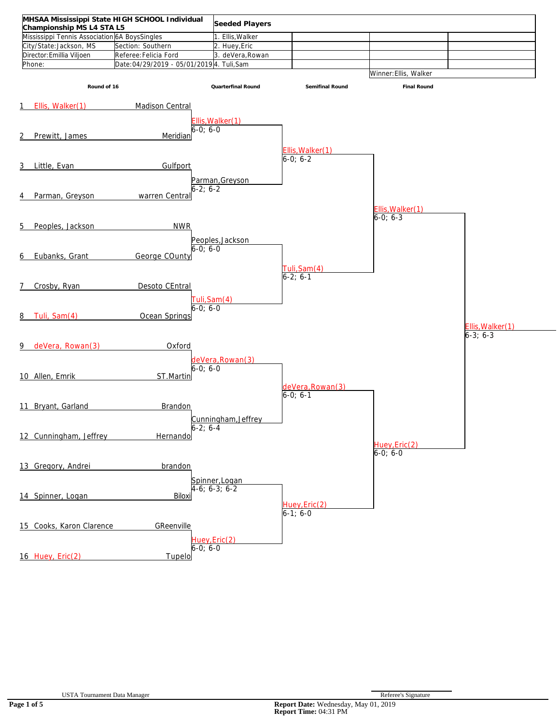| MHSAA Mississippi State HIGH SCHOOL Individual<br>Championship MS L4 STA L5 |                                           | Seeded Players                    |                                |                                 |                                    |
|-----------------------------------------------------------------------------|-------------------------------------------|-----------------------------------|--------------------------------|---------------------------------|------------------------------------|
| Mississippi Tennis Association 6A BoysSingles                               |                                           | 1. Ellis, Walker                  |                                |                                 |                                    |
| City/State:Jackson, MS                                                      | Section: Southern                         | 2. Huey, Eric                     |                                |                                 |                                    |
| Director: Emillia Viljoen                                                   | Referee: Felicia Ford                     | 3. deVera, Rowan                  |                                |                                 |                                    |
| Phone:                                                                      | Date:04/29/2019 - 05/01/2019 4. Tuli, Sam |                                   |                                |                                 |                                    |
|                                                                             |                                           |                                   |                                | Winner: Ellis, Walker           |                                    |
| Round of 16                                                                 |                                           | Quarterfinal Round                | Semifinal Round                | Final Round                     |                                    |
| 1 Ellis, Walker(1)                                                          | Madison Central                           |                                   |                                |                                 |                                    |
| Prewitt, James<br>2                                                         | $6-0; 6-0$<br>Meridian                    | Ellis, Walker(1)                  |                                |                                 |                                    |
|                                                                             |                                           |                                   | Ellis, Walker(1)<br>$6-0; 6-2$ |                                 |                                    |
| 3 Little, Evan                                                              | Gulfport                                  |                                   |                                |                                 |                                    |
| Parman, Greyson<br>4                                                        | $6-2; 6-2$<br>warren Central              | Parman, Greyson                   |                                | Ellis, Walker(1)                |                                    |
|                                                                             |                                           |                                   |                                | $6-0; 6-3$                      |                                    |
| 5<br>Peoples, Jackson                                                       | <b>NWR</b>                                |                                   |                                |                                 |                                    |
| Eubanks, Grant<br>6                                                         | George COunty                             | Peoples, Jackson<br>$6 - 0:6 - 0$ | Tuli, Sam(4)<br>$6-2; 6-1$     |                                 |                                    |
| Crosby, Ryan<br>7                                                           | Desoto CEntral                            |                                   |                                |                                 |                                    |
| Tuli, Sam(4)<br>8<br>9 deVera, Rowan(3)                                     | 6-0: 6-0<br>Ocean Springs<br>Oxford       | Tuli, Sam(4)                      |                                |                                 | Ellis, Walker(1)<br>$6 - 3; 6 - 3$ |
| 10 Allen, Emrik                                                             | $6-0; 6-0$<br>ST.Martin                   | deVera, Rowan(3)                  | deVera, Rowan(3)<br>$6-0; 6-1$ |                                 |                                    |
| 11 Bryant, Garland                                                          | <b>Brandon</b>                            |                                   |                                |                                 |                                    |
| 12 Cunningham, Jeffrey                                                      | Hernando                                  | Cunningham, Jeffrey               |                                | Huey, Eric(2)<br>$6 - 0; 6 - 0$ |                                    |
|                                                                             |                                           |                                   |                                |                                 |                                    |
| 13 Gregory, Andrei                                                          | brandon                                   |                                   |                                |                                 |                                    |
| 14 Spinner, Logan                                                           | Biloxi                                    | Spinner, Logan<br>4-6; 6-3; 6-2   | Huey, Eric(2)<br>$6-1; 6-0$    |                                 |                                    |
| 15 Cooks, Karon Clarence                                                    | GReenville<br>$6-0; 6-0$                  | Huey, Eric(2)                     |                                |                                 |                                    |
| 16 Huey, Eric(2)                                                            | Tupelo                                    |                                   |                                |                                 |                                    |
|                                                                             |                                           |                                   |                                |                                 |                                    |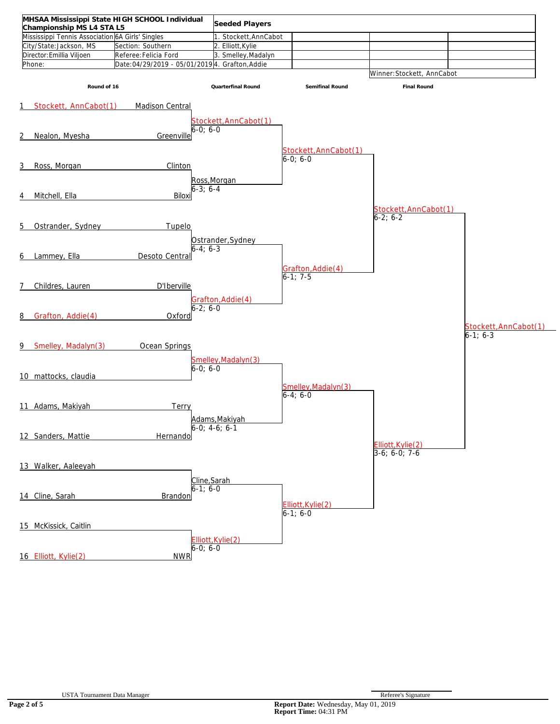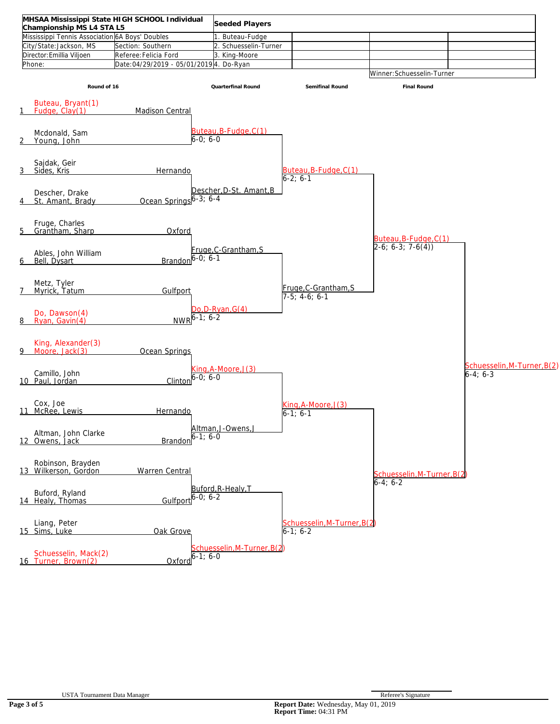| MHSAA Mississippi State HIGH SCHOOL Individual<br>Championship MS L4 STA L5 |                                         | Seeded Players                     |                                           |                                               |                             |
|-----------------------------------------------------------------------------|-----------------------------------------|------------------------------------|-------------------------------------------|-----------------------------------------------|-----------------------------|
| Mississippi Tennis Association 6A Boys' Doubles                             |                                         | 1. Buteau-Fudge                    |                                           |                                               |                             |
| City/State:Jackson, MS                                                      | Section: Southern                       | 2. Schuesselin-Turner              |                                           |                                               |                             |
| Director: Emillia Viljoen                                                   | Referee: Felicia Ford                   | 3. King-Moore                      |                                           |                                               |                             |
| Phone:                                                                      | Date:04/29/2019 - 05/01/2019 4. Do-Ryan |                                    |                                           |                                               |                             |
|                                                                             |                                         |                                    |                                           | Winner: Schuesselin-Turner                    |                             |
|                                                                             |                                         |                                    |                                           |                                               |                             |
| Round of 16                                                                 |                                         | Quarterfinal Round                 | Semifinal Round                           | Final Round                                   |                             |
| Buteau, Bryant(1)<br>Fudge, Clay(1)<br>1                                    | <b>Madison Central</b>                  |                                    |                                           |                                               |                             |
|                                                                             |                                         |                                    |                                           |                                               |                             |
| Mcdonald, Sam<br>2<br>Young, John                                           | $6-0; 6-0$                              | Buteau,B-Fudge,C(1)                |                                           |                                               |                             |
| Sajdak, Geir<br>3<br>Sides, Kris                                            | Hernando                                |                                    | Buteau, B-Fudge, C(1)<br>$6-2; 6-1$       |                                               |                             |
| Descher, Drake<br>St. Amant, Brady<br>4                                     | Ocean Springs 6-3; 6-4                  | Descher, D-St. Amant, B            |                                           |                                               |                             |
| Fruge, Charles<br>Grantham, Sharp<br>5                                      | Oxford                                  |                                    |                                           | Buteau, B-Fudge, C(1)                         |                             |
| Ables, John William<br>Bell, Dysart<br>6                                    | Brandon $6-0$ ; $6-1$                   | Fruge, C-Grantham, S               |                                           | $2-6$ ; 6-3; 7-6(4))                          |                             |
| Metz, Tyler<br>$\overline{7}$<br>Myrick, Tatum                              | Gulfport                                |                                    | Fruge, C-Grantham, S<br>$7-5$ ; 4-6; 6-1  |                                               |                             |
| Do, Dawson(4)<br>Ryan, Gavin(4)<br>8                                        | $-1:6-2$<br>NWR <sup>O</sup>            | Do, D-Ryan, G(4)                   |                                           |                                               |                             |
| King, Alexander(3)<br>9 Moore, Jack(3)                                      | Ocean Springs                           |                                    |                                           |                                               | Schuesselin, M-Turner, B(2) |
| Camillo, John<br>10 Paul, Jordan                                            | 6-0: 6-0<br>Clintor                     | (3)l, ing, A-Moore                 |                                           |                                               | $6-4; 6-3$                  |
| Cox, Joe<br>11 McRee, Lewis                                                 | Hernando                                |                                    | (3)U.sing, A-Moore<br>$6-1; 6-1$          |                                               |                             |
| Altman, John Clarke<br>12 Owens, Jack                                       | $-1:6-0$<br>Brandor                     | Altman, J-Owens, J                 |                                           |                                               |                             |
| Robinson, Brayden<br>13 Wilkerson, Gordon                                   | <b>Warren Central</b>                   |                                    |                                           | Schuesselin, M-Turner, B(2)<br>$6 - 4; 6 - 2$ |                             |
| Buford, Ryland<br>14 Healy, Thomas                                          | Gulfport $6-0$ ; $6-2$                  | Buford, R-Healy, T                 |                                           |                                               |                             |
| Liang, Peter<br>15 Sims, Luke                                               | Oak Grove                               |                                    | Schuesselin, M-Turner, B(2)<br>$6-1; 6-2$ |                                               |                             |
| Schuesselin, Mack(2)<br>16 Turner, Brown(2)                                 | $Oxford^{6-1}$ ; 6-0                    | <u>Schuesselin, M-Turner, B(2)</u> |                                           |                                               |                             |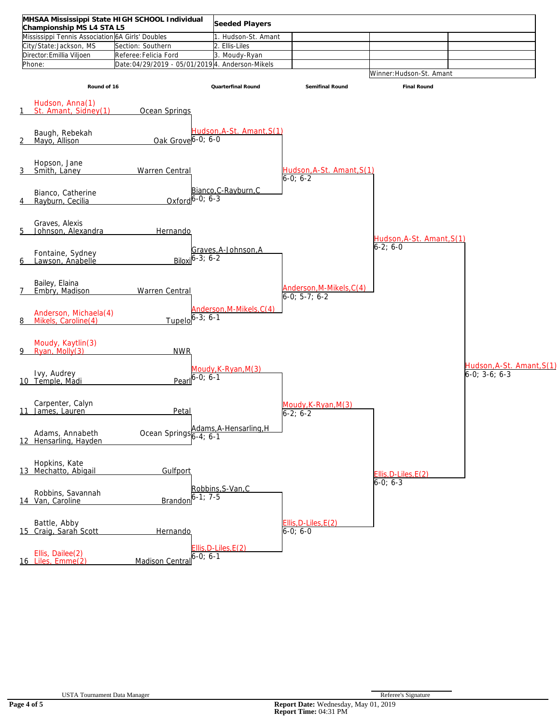| Championship MS L4 STA L5                         | MHSAA Mississippi State HIGH SCHOOL Individual  | Seeded Players                      |                                             |                                    |                           |
|---------------------------------------------------|-------------------------------------------------|-------------------------------------|---------------------------------------------|------------------------------------|---------------------------|
| Mississippi Tennis Association 6A Girls' Doubles  |                                                 | 1. Hudson-St. Amant                 |                                             |                                    |                           |
| City/State:Jackson, MS                            | Section: Southern                               | 2. Ellis-Liles                      |                                             |                                    |                           |
| Director: Emillia Viljoen                         | Referee: Felicia Ford                           | 3. Moudy-Ryan                       |                                             |                                    |                           |
| Phone:                                            | Date:04/29/2019 - 05/01/2019 4. Anderson-Mikels |                                     |                                             |                                    |                           |
|                                                   |                                                 |                                     |                                             | Winner: Hudson-St. Amant           |                           |
| Round of 16                                       |                                                 | Quarterfinal Round                  | Semifinal Round                             | Final Round                        |                           |
| Hudson, Anna(1)<br>St. Amant, Sidney(1)<br>1      | Ocean Springs                                   |                                     |                                             |                                    |                           |
| Baugh, Rebekah<br>2<br>Mayo, Allison              | Oak Grove 6-0; 6-0                              | Hudson, A-St. Amant, S(1)           |                                             |                                    |                           |
| Hopson, Jane<br><u>3</u><br>Smith, Laney          | <b>Warren Central</b>                           |                                     | Hudson, A-St. Amant, S(1)<br>$6-0:6-2$      |                                    |                           |
| Bianco, Catherine<br>Rayburn, Cecilia<br>4        | Oxford $6-0$ ; $6-3$                            | Bianco, C-Rayburn, C                |                                             |                                    |                           |
| Graves, Alexis<br>5<br>Johnson, Alexandra         | Hernando                                        |                                     |                                             | Hudson, A-St. Amant, S(1)          |                           |
| Fontaine, Sydney<br>Lawson, Anabelle<br>6         | Biloxi $6-3$ ; $6-2$                            | Graves, A-Johnson, A                |                                             | $6-2; 6-0$                         |                           |
| Bailey, Elaina<br>7<br>Embry, Madison             | <b>Warren Central</b>                           |                                     | Anderson, M-Mikels, C(4)<br>$6-0; 5-7; 6-2$ |                                    |                           |
| Anderson, Michaela(4)<br>Mikels, Caroline(4)<br>8 | $Tupelo 6 - 3; 6 - 1$                           | Anderson, M-Mikels, C(4)            |                                             |                                    |                           |
| Moudy, Kaytlin(3)<br>Ryan, Molly(3)<br>9          | <b>NWR</b>                                      |                                     |                                             |                                    | Hudson, A-St. Amant, S(1) |
| Ivy, Audrey<br>10 Temple, Madi                    | Pearl $6 - 0$ ; 6-1                             | Moudy, K-Ryan, M(3)                 |                                             |                                    | $6-0; 3-6; 6-3$           |
| Carpenter, Calyn<br>11 James, Lauren              | Petal                                           |                                     | Moudy, K-Ryan, M(3)<br>$6 - 2: 6 - 2$       |                                    |                           |
| Adams, Annabeth<br>12 Hensarling, Hayden          | Ocean Springs 6-4; 6-1                          | Adams, A-Hensarling, H              |                                             |                                    |                           |
| Hopkins, Kate<br>13 Mechatto, Abigail             | Gulfport                                        |                                     |                                             | Ellis, D-Liles, E(2)<br>$6-0; 6-3$ |                           |
| Robbins, Savannah<br>14 Van, Caroline             | <b>Brando</b>                                   | Robbins, S-Van, C<br>$5 - 1: 7 - 5$ |                                             |                                    |                           |
| Battle, Abby<br>15 Craig, Sarah Scott             | Hernando                                        |                                     | Ellis, D-Liles, E(2)<br>$6 - 0; 6 - 0$      |                                    |                           |
| Ellis, Dailee(2)<br>16 Liles, Emme(2)             | <b>Madison Centra</b>                           | $Ellis, D-Liles, E(2)$<br>$-0; 6-1$ |                                             |                                    |                           |